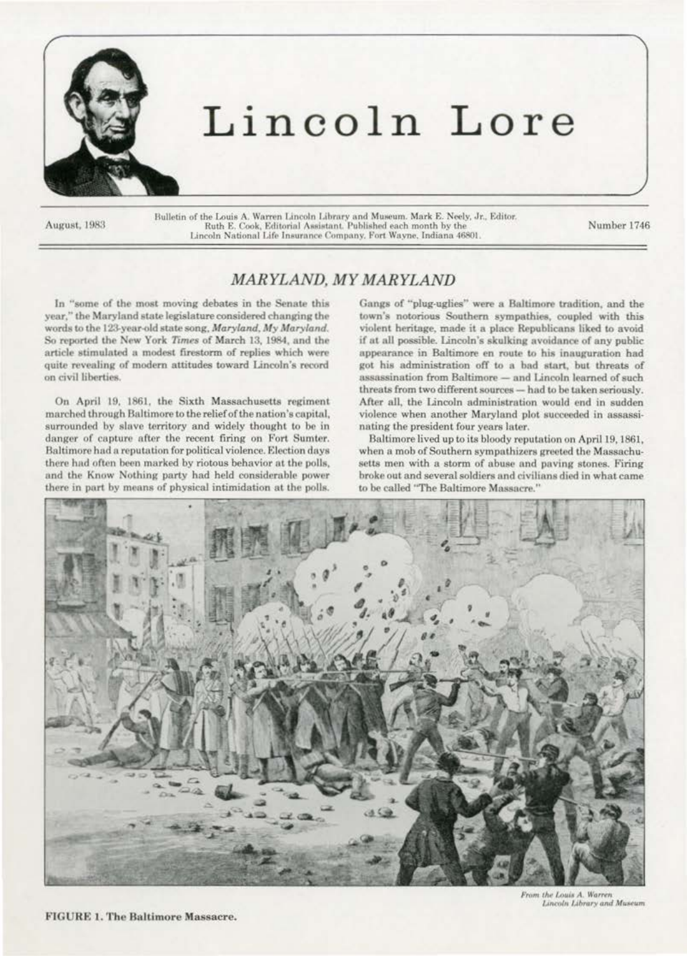

# Lincoln Lore

August, 1983

Bulletin of the Louis A. Warren Lincoln Library and Museum. Mark E. Neely, Jr., Editor.<br>Ruth E. Cook, Editorial Assistant. Published each month by the<br>Lincoln National Life Insurance Company. Fort Wayne, Indiana 46801.

Number 1746

## MARYLAND, MY MARYLAND

In "some of the most moving debates in the Senate this year," the Maryland state legislature considered changing the words to the 123-year-old state song, Maryland, My Maryland. So reported the New York Times of March 13, 1984, and the article stimulated a modest firestorm of replies which were quite revealing of modern attitudes toward Lincoln's record on civil liberties.

On April 19, 1861, the Sixth Massachusetts regiment marched through Baltimore to the relief of the nation's capital, surrounded by slave territory and widely thought to be in danger of capture after the recent firing on Fort Sumter. Baltimore had a reputation for political violence. Election days there had often been marked by riotous behavior at the polls, and the Know Nothing party had held considerable power there in part by means of physical intimidation at the polls.

Gangs of "plug-uglies" were a Baltimore tradition, and the town's notorious Southern sympathies, coupled with this violent heritage, made it a place Republicans liked to avoid if at all possible. Lincoln's skulking avoidance of any public appearance in Baltimore en route to his inauguration had got his administration off to a bad start, but threats of assassination from Baltimore - and Lincoln learned of such threats from two different sources - had to be taken seriously. After all, the Lincoln administration would end in sudden violence when another Maryland plot succeeded in assassinating the president four years later.

Baltimore lived up to its bloody reputation on April 19, 1861, when a mob of Southern sympathizers greeted the Massachusetts men with a storm of abuse and paving stones. Firing broke out and several soldiers and civilians died in what came to be called "The Baltimore Massacre."



From the Louis A. Warren Lincoln Library and Museum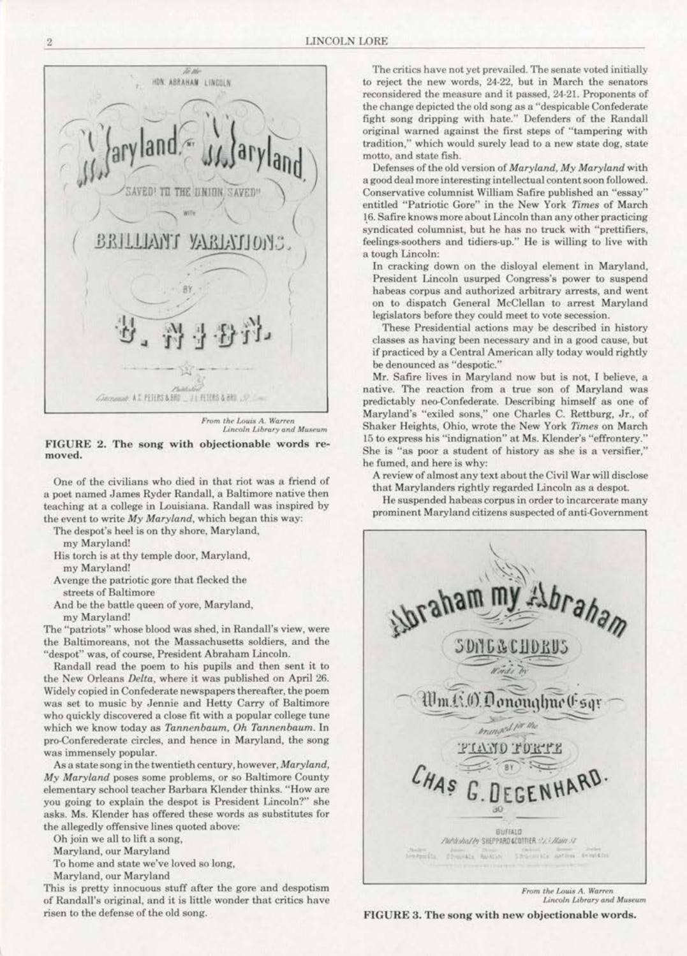

*From the Louis A. Warren J.m«JJn Llbraryand Mu11.-um* 

FIGURE 2. The song with objectionable words re- moved.

One *or* the civilians who died in that riot was a friend of a poet named James Ryder Randall. a Baltimore native then teaching at a college in Louisiana. Randall was inspired by the event to write My Maryland, which began this way:

The despot's heel is on thy shore, Maryland,

my Maryland!

- His torch is at thy temple door, Maryland.
- my Maryland!
- Avenge the patriotic gore that flecked the streets of Baltimore
- And be the battle queen of yore, Maryland,

my Maryland!

The "patriots" whose blood was shed, in Randall's view, were the Baltimoreans, not the Massachusetts soldiers, and the "despot" was, of course, President Abraham Lincoln.

Randall read the poem to his pupils and then sent it to the New Orleans *Delta,* where it was published on April 26. Widely copied in Confederate newspapers thereafter, the poem was set to music by Jennie and Hetty Carry of Baltimore who quickly discovered a close fit with a popular college tune which we know today as *Tannenbaum. Oh Tannenbaum.* In pro-Conferederate circles, and hence in Maryland, the song was immensely popular.

As a state song in the twentieth century, however. *Maryland, My Maryland* poses some problems, or so Baltimore County elementary school teacher Barbara Klender thinks. "How are you going to explain the despot is President Lincoln?" she asks. Ms. Klender has offered these words as substitutes for the allegedly offensive lines quoted above:

Oh join we all to lift a song.

Maryland, our Maryland

To home and state we've loved so Jong,

Maryland, our Maryland

This is pretty innocuous stuff after the gore and despotism of Randall's original, and it is little wonder that critics have risen to the defense of the old song.

The critics have not yet prevailed. The senate voted initially to reject the new words, 24-22, but in March the senators reconsidered the measure and it passed, 24·21. Proponents of the change depicted the old song as a "despicable Confederate fight song dripping with hate." Defenders of the Randall original warned against the first steps of "tampering with tradition," which would surely lead to a new state dog, state motto, and state fish.

l)efc:nses of the old version of *Maryland, My Maryland* with a good deal more interesting intellectual content soon followed. Conservative columnist William Safire published an "essay" entitled "Patriotic Gore" in the New York Times of March 16. Safire knows more about Lincoln than any other practicing syndicated columnist, but he has no truck with "prettifiers, feelings-soothers and tidiers-up." He is willing to live with a tough Lincoln:

ln cracking down on the disloya1 clement in Maryland, President Lincoln usurped Congress's power to suspend habeas corpus and authorized arbitrary arrests, and went on to dispatch General McClellan to arrest Maryland legislators before they could meet to vote secession.

These Presidential actions may be described in history classes as having been necessary and in a good cause. but if practiced by a Central American ally today would rightly be denounced as "despotic."

Mr. Safire lives in Maryland now but is not, I believe, a native. The reaction from a true son of Maryland was predictably neo-Confederate. Describing himself as one of Maryland's "exiled sons," one Charles C. Rcttburg, Jr., of Shaker Heights, Ohio, wrote the New York *Times* on March 15 to express his "indignation" at Ms. Klender's "effrontery." She is "as poor a student of history as she is a versifier,'' he fumed, and here is why:

A review of almost any text about the Civil War will disclose that Marylanders rightly regarded Lincoln as a despot.

He suspended habeas corpus in order to incarcerate many prominent Maryland citizens suspected of anti-Government



From the Louis A. Warren Lincoln Library and Museum

FIGURE 3. The song with new objectionable words.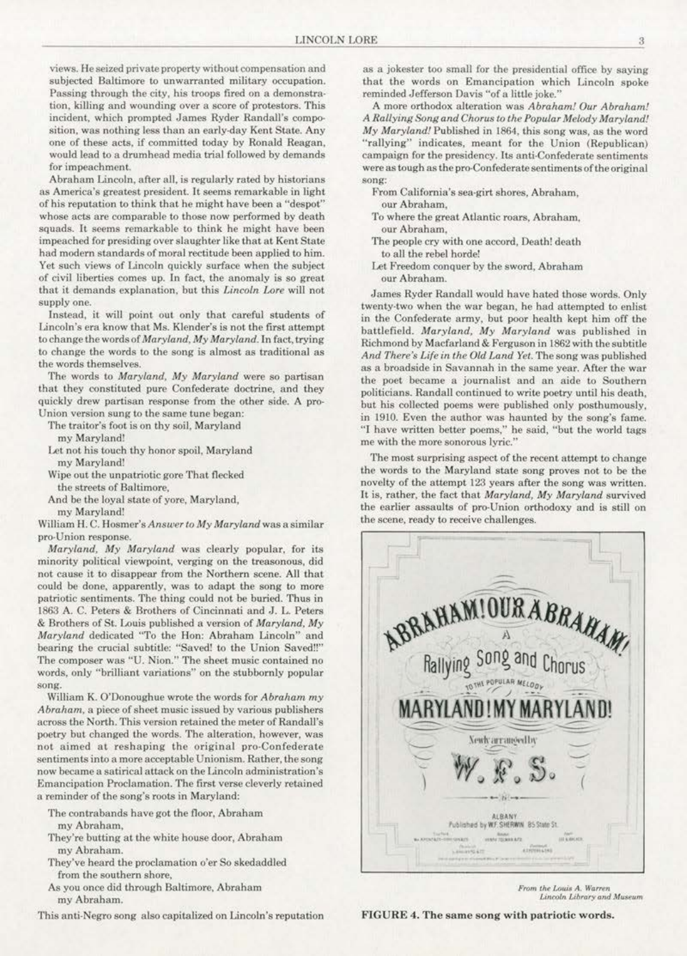views. He seized private property without compensation and subjected Baltimore to unwarranted military occupation. Passing through the city, his troops fired on a demonstration, killing and wounding over a score of protestors. This incident, which prompted James Ryder Randall's composition, was nothing less than an early-day Kent State. Any one of these acts, if committed today by Ronald Reagan, would lead to a drumhead media trial followed by demands for impeachment.

Abraham Lincoln, after all, is regularly rated by historians as America's greatest president. It seems remarkable in light of his reputation to think that he might have been a "despot" whose acts are comparable to those now performed by death squads. It seems remarkable to think he might have been impeached for presiding over slaughter like that at Kent State had modern standards of moral rectitude been applied to him. Yet such views of Lincoln quickly surface when the subject of eivil liberties comes up. In fact, the anomaly is so great that it demands explanation. but this *Lincoln Lore* will not supply one.

Instead, it will point out only that careful students of Lincoln's era know that Ms. Klender's is not the first attempt to change the words of *Maryland.* My *Maryland.* In fact, trying to change the words to the song is almost as traditional as the words themselves.

The words to *Maryland, My Maryland* were so partisan that they constituted pure Confederate doctrine, and they quickly drew partisan response from the other side. A pro-Union version sung to the same tune began:

The traitor's foot is on thy soil, Maryland

my Maryland!

- Let not his touch thy honor spoil, Maryland my Maryland!
- Wipe out the unpatriotic gore That flecked the streets of Baltimore,
- And be the loyal state of yore. Maryland, my Maryland'

William H. C. Hosmer's Answer to My Maryland was a similar pro-Union response.

*Maryland, My Maryland was clearly popular, for its* minority political viewpoint, verging on the treasonous, did not cause it to disappear from the Northern scene. All that. could be done, apparently, was to adapt the song to more patriotic sentiments. The thing could not be buried. Thus in 1863 A. C. Peters & Brothers of Cincinnati and J. L. Peters & Brothers or St. Louis published o version of *Maryland.* My *Maryland* dedicated "To the Hon: Abraham Lincoln" and bearing the crucial subtitle: "Saved! to the Union Saved!!" The composer was "U. Nion." The sheet music contained no words, only "brilliant variations" on the stubbornly popular song.

William K. O"Donoughue wrote the words for *Abraham my Abraham*, a piece of sheet music issued by various publishers across the North. This version retained the meter of RandaU"s poetry but changed the words. The alteration. however, was not aimed at reshaping the original pro-Confederate sentiments into a more acceptable Unionism. Rather, the song now became a satirical attack on the Lincoln administration's Emancipation Proclamation. The first verse cleverly retained a reminder of the song's roots in Maryland:

The oontrabands have got the floor, Abraham my Abraham,

- They're butting at the white house door, Abraham my Abraham.
- They've heard the proclamation o'er So skedaddled from the southern shore.
- As you once did through Baltimore, Abraham my Abraham.
- This anti-Negro song also capitalized on Lincoln's reputation

as a jokester too small for the presidentia1 office by saying that the words on Emancipation which Lincoln spoke reminded Jefferson Davis "of a little joke."

A more orthodox alteration was *Abraham! Our Abraham! A Rallying Song and Chorus* to *the Popular Melody MarylaruJ!*  My Maryland! Published in 1864, this song was, as the word "rallying" indicates, meant for the Union (Republican) campaign for the presidency. Its anti-Confederate sentiments were as tough as the pro-Confederate sentiments of the original song:

- Prom California"s sea-girt shores, Abraham, our Abraham.
- To where the great Atlantic roars, Abraham. our Abraham,
- The people cry with one accord, Death! death to all the rebel horde!
- Let Freedom conquer by the sword, Abraham our Abraham.

James Ryder Randall would have hated those words. Only twenty.two when the war began, be had attempted to enlist in the Confederate army, but poor health kept him off the battlefield. *Maryland,* My Maryland was published in Richmond by Macfarland & Ferguson in 1862 with the subtitle *And There's Life in the Old Land Yet.* The song was published as a broadside in Savannah in the same year. After the war the poet became a journalist and an aide to Southern politicians. Randall continued to write poetry until his death. but his collected poems were published only posthumously, in 1910. Even the author was haunted by the song's fame. "I have written better poems," he said, "but the world tags me with the more sonorous lyric."'

The most surprising aspect of the recent attempt to change the words to the Maryland state song proves not to be the novelty of the attempt 123 years after the song was written. It is, rather, the fact that *Maryland*, *My Maryland* survived the earlier assaults of pro-Union orthodoxy and is still on the scene. ready to receive challenges.



*From the Louis A. Warren*<br>Lincoln Library and Museum

FIGURE 4. The same song with patriotic words.